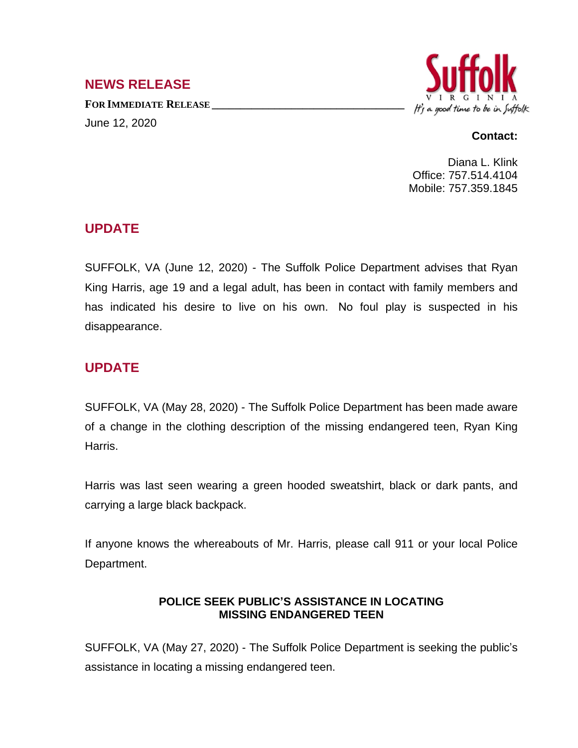## **NEWS RELEASE**

**FOR IMMEDIATE RELEASE \_\_\_\_\_\_\_\_\_\_\_\_\_\_\_\_\_\_\_\_\_\_\_\_\_\_\_\_\_\_\_\_\_\_** June 12, 2020



#### **Contact:**

Diana L. Klink Office: 757.514.4104 Mobile: 757.359.1845

## **UPDATE**

SUFFOLK, VA (June 12, 2020) - The Suffolk Police Department advises that Ryan King Harris, age 19 and a legal adult, has been in contact with family members and has indicated his desire to live on his own. No foul play is suspected in his disappearance.

# **UPDATE**

SUFFOLK, VA (May 28, 2020) - The Suffolk Police Department has been made aware of a change in the clothing description of the missing endangered teen, Ryan King Harris.

Harris was last seen wearing a green hooded sweatshirt, black or dark pants, and carrying a large black backpack.

If anyone knows the whereabouts of Mr. Harris, please call 911 or your local Police Department.

### **POLICE SEEK PUBLIC'S ASSISTANCE IN LOCATING MISSING ENDANGERED TEEN**

SUFFOLK, VA (May 27, 2020) - The Suffolk Police Department is seeking the public's assistance in locating a missing endangered teen.